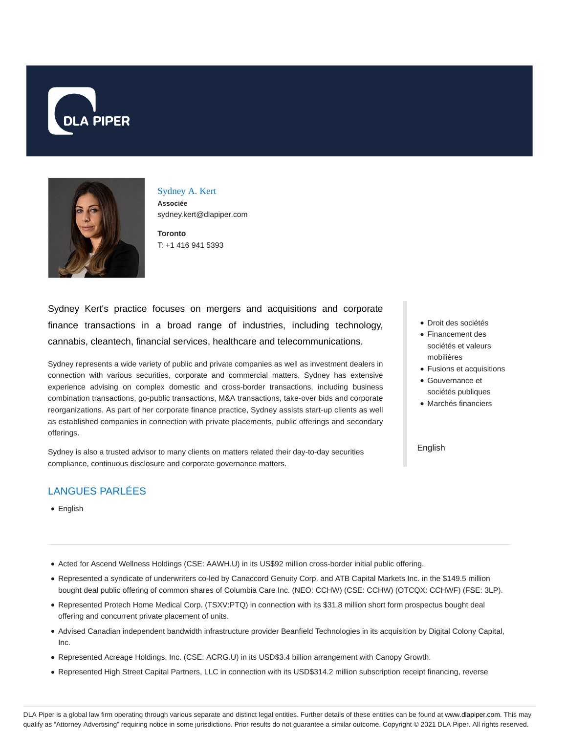



Sydney A. Kert **Associée** sydney.kert@dlapiper.com

**Toronto** T: +1 416 941 5393

Sydney Kert's practice focuses on mergers and acquisitions and corporate finance transactions in a broad range of industries, including technology, cannabis, cleantech, financial services, healthcare and telecommunications.

Sydney represents a wide variety of public and private companies as well as investment dealers in connection with various securities, corporate and commercial matters. Sydney has extensive experience advising on complex domestic and cross-border transactions, including business combination transactions, go-public transactions, M&A transactions, take-over bids and corporate reorganizations. As part of her corporate finance practice, Sydney assists start-up clients as well as established companies in connection with private placements, public offerings and secondary offerings.

Sydney is also a trusted advisor to many clients on matters related their day-to-day securities compliance, continuous disclosure and corporate governance matters.

# LANGUES PARLÉES

• English

- Acted for Ascend Wellness Holdings (CSE: AAWH.U) in its US\$92 million cross-border initial public offering.
- Represented a syndicate of underwriters co-led by Canaccord Genuity Corp. and ATB Capital Markets Inc. in the \$149.5 million bought deal public offering of common shares of Columbia Care Inc. (NEO: CCHW) (CSE: CCHW) (OTCQX: CCHWF) (FSE: 3LP).
- Represented Protech Home Medical Corp. (TSXV:PTQ) in connection with its \$31.8 million short form prospectus bought deal offering and concurrent private placement of units.
- Advised Canadian independent bandwidth infrastructure provider Beanfield Technologies in its acquisition by Digital Colony Capital, Inc.
- Represented Acreage Holdings, Inc. (CSE: ACRG.U) in its USD\$3.4 billion arrangement with Canopy Growth.
- Represented High Street Capital Partners, LLC in connection with its USD\$314.2 million subscription receipt financing, reverse
- Droit des sociétés
- Financement des sociétés et valeurs mobilières
- Fusions et acquisitions
- Gouvernance et sociétés publiques
- Marchés financiers

#### English

DLA Piper is a global law firm operating through various separate and distinct legal entities. Further details of these entities can be found at www.dlapiper.com. This may qualify as "Attorney Advertising" requiring notice in some jurisdictions. Prior results do not guarantee a similar outcome. Copyright © 2021 DLA Piper. All rights reserved.